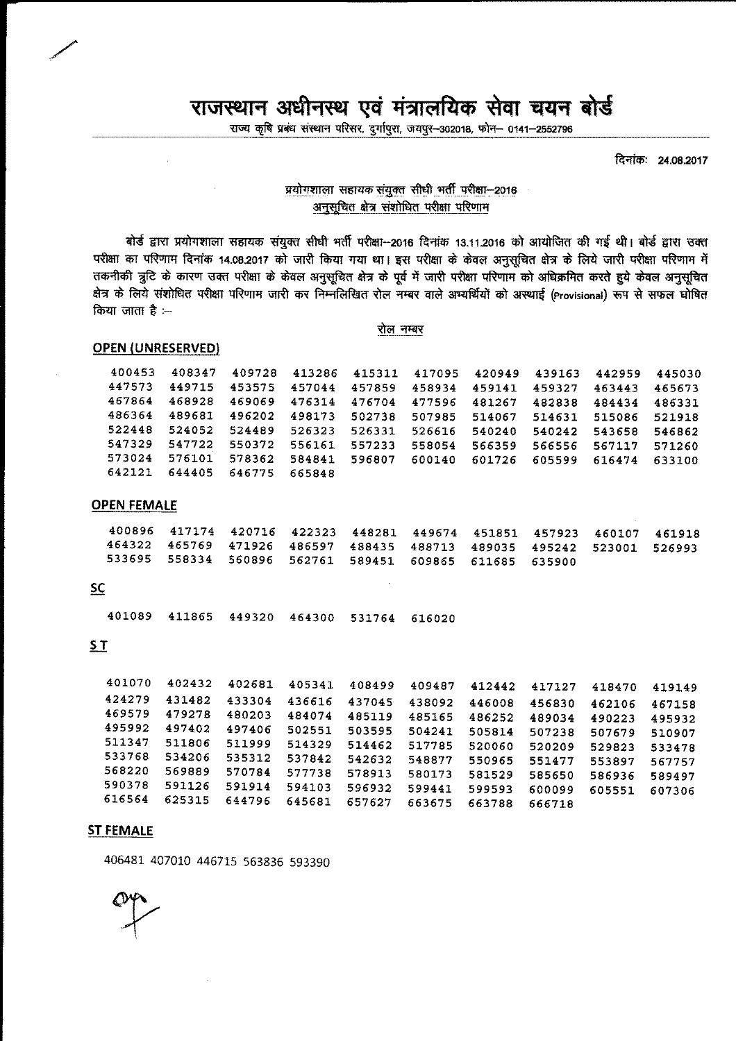# राजस्थान अधीनस्थ एवं मंत्रालयिक सेवा चयन बोर्ड

राज्य कृषि प्रबंध संस्थान परिसर, दुर्गापुरा, जयपुर-302018, फोन- 0141-2552796

दिनांकः 24.08.2017

### प्रयोगशाला सहायक संयुक्त सीधी भर्ती परीक्षा-2016 अनुसूचित क्षेत्र संशोधित परीक्षा परिणाम

बोर्ड द्वारा प्रयोगशाला सहायक संयुक्त सीधी भर्ती परीक्षा--2016 दिनांक 13.11.2016 को आयोजित की गई थी। बोर्ड द्वारा उक्त परीक्षा का परिणाम दिनांक 14.08.2017 को जारी किया गया था। इस परीक्षा के केवल अनुसूचित क्षेत्र के लिये जारी परीक्षा परिणाम में तकनीकी त्रुटि के कारण उक्त परीक्षा के केवल अनुसूचित क्षेत्र के पूर्व में जारी परीक्षा परिणाम को अधिक्रमित करते हुये केवल अनुसूचित क्षेत्र के लिये संशोधित परीक्षा परिणाम जारी कर निम्नलिखित रोल नम्बर वाले अभ्यर्थियों को अस्थाई (Provisional) रूप से सफल घोषित किया जाता है :--

#### रोल नम्बर

#### **OPEN {UNRESERVED)**

| 400453 | 408347 | 409728 | 413286 | 415311 | 417095 420949 |        | 439163        | 442959 | 445030 |
|--------|--------|--------|--------|--------|---------------|--------|---------------|--------|--------|
| 447573 | 449715 | 453575 | 457044 | 457859 | 458934        | 459141 | 459327        | 463443 | 465673 |
| 467864 | 468928 | 469069 | 476314 | 476704 | 477596        | 481267 | 482838        | 484434 | 486331 |
| 486364 | 489681 | 496202 | 498173 | 502738 | 507985        | 514067 | 514631        | 515086 | 521918 |
| 522448 | 524052 | 524489 | 526323 | 526331 | 526616        | 540240 | 540242 543658 |        | 546862 |
| 547329 | 547722 | 550372 | 556161 | 557233 | 558054        | 566359 | 566556 567117 |        | 571260 |
| 573024 | 576101 | 578362 | 584841 | 596807 | 600140        | 601726 | 605599 616474 |        | 633100 |
| 642121 | 644405 | 646775 | 665848 |        |               |        |               |        |        |

#### **OPEN FEMALE**

|  | 400896 417174 420716 422323 448281 449674 451851 457923 460107 461918 |  |  |  |
|--|-----------------------------------------------------------------------|--|--|--|
|  | 464322 465769 471926 486597 488435 488713 489035 495242 523001 526993 |  |  |  |
|  | 533695 558334 560896 562761 589451 609865 611685 635900               |  |  |  |

#### **SC**

401089 411865 449320 464300 531764 616020

## **ST**

| 401070 | 402432 | 402681 | 405341 | 408499 | 409487 | 412442 | 417127 | 418470 | 419149 |
|--------|--------|--------|--------|--------|--------|--------|--------|--------|--------|
| 424279 | 431482 | 433304 | 436616 | 437045 | 438092 | 446008 | 456830 | 462106 | 467158 |
| 469579 | 479278 | 480203 | 484074 | 485119 | 485165 | 486252 | 489034 | 490223 | 495932 |
| 495992 | 497402 | 497406 | 502551 | 503595 | 504241 | 505814 | 507238 | 507679 | 510907 |
| 511347 | 511806 | 511999 | 514329 | 514462 | 517785 | 520060 | 520209 | 529823 | 533478 |
| 533768 | 534206 | 535312 | 537842 | 542632 | 548877 | 550965 | 551477 | 553897 | 567757 |
| 568220 | 569889 | 570784 | 577738 | 578913 | 580173 | 581529 | 585650 | 586936 | 589497 |
| 590378 | 591126 | 591914 | 594103 | 596932 | 599441 | 599593 | 600099 | 605551 | 607306 |
| 616564 | 625315 | 644796 | 645681 | 657627 | 663675 | 663788 | 666718 |        |        |
|        |        |        |        |        |        |        |        |        |        |

#### **ST FEMALE**

406481 407010 446715 563836 593390